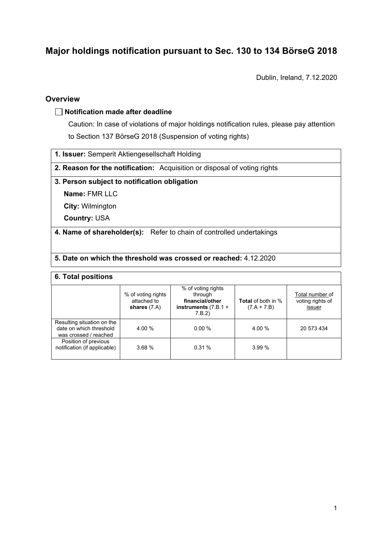# **Major holdings notification pursuant to Sec. 130 to 134 BörseG 2018**

Dublin, Ireland, 7.12.2020

## **Overview**

## **Notification made after deadline**

Caution: In case of violations of major holdings notification rules, please pay attention to Section 137 BörseG 2018 (Suspension of voting rights)

**1. Issuer:** Semperit Aktiengesellschaft Holding

**2. Reason for the notification:** Acquisition or disposal of voting rights

## **3. Person subject to notification obligation**

**Name:** FMR LLC

**City:** Wilmington

**Country:** USA

**4. Name of shareholder(s):** Refer to chain of controlled undertakings

## **5. Date on which the threshold was crossed or reached:** 4.12.2020

#### **6. Total positions**

|                                                                                | % of voting rights<br>attached to<br>shares $(7.A)$ | % of voting rights<br>through<br>financial/other<br>instruments $(7.B.1 +$<br>7.B.2) | <b>Total</b> of both in %<br>$(7.A + 7.B)$ | Total number of<br>voting rights of<br>issuer |
|--------------------------------------------------------------------------------|-----------------------------------------------------|--------------------------------------------------------------------------------------|--------------------------------------------|-----------------------------------------------|
| Resulting situation on the<br>date on which threshold<br>was crossed / reached | 4.00 %                                              | 0.00%                                                                                | 4.00 %                                     | 20 573 434                                    |
| Position of previous<br>notification (if applicable)                           | 3.68%                                               | 0.31%                                                                                | 3.99%                                      |                                               |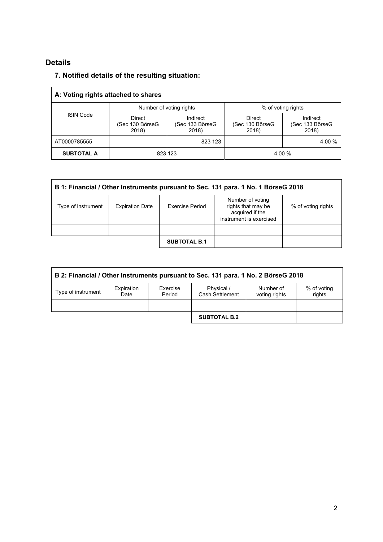## **Details**

## **7. Notified details of the resulting situation:**

| A: Voting rights attached to shares |                                           |                                      |                                    |                                      |  |
|-------------------------------------|-------------------------------------------|--------------------------------------|------------------------------------|--------------------------------------|--|
| <b>ISIN Code</b>                    |                                           | Number of voting rights              | % of voting rights                 |                                      |  |
|                                     | <b>Direct</b><br>(Sec 130 BörseG<br>2018) | Indirect<br>(Sec 133 BörseG<br>2018) | Direct<br>(Sec 130 BörseG<br>2018) | Indirect<br>(Sec 133 BörseG<br>2018) |  |
| AT0000785555                        |                                           | 823 123                              |                                    | 4.00 %                               |  |
| <b>SUBTOTAL A</b>                   | 823 123                                   |                                      | 4.00 %                             |                                      |  |

| B 1: Financial / Other Instruments pursuant to Sec. 131 para. 1 No. 1 BörseG 2018 |                        |                        |                                                                                      |                    |  |
|-----------------------------------------------------------------------------------|------------------------|------------------------|--------------------------------------------------------------------------------------|--------------------|--|
| Type of instrument                                                                | <b>Expiration Date</b> | <b>Exercise Period</b> | Number of voting<br>rights that may be<br>acquired if the<br>instrument is exercised | % of voting rights |  |
|                                                                                   |                        |                        |                                                                                      |                    |  |
|                                                                                   |                        | <b>SUBTOTAL B.1</b>    |                                                                                      |                    |  |

| B 2: Financial / Other Instruments pursuant to Sec. 131 para. 1 No. 2 BörseG 2018 |                    |                    |                               |                            |                       |
|-----------------------------------------------------------------------------------|--------------------|--------------------|-------------------------------|----------------------------|-----------------------|
| Type of instrument                                                                | Expiration<br>Date | Exercise<br>Period | Physical /<br>Cash Settlement | Number of<br>voting rights | % of voting<br>rights |
|                                                                                   |                    |                    |                               |                            |                       |
|                                                                                   |                    |                    | <b>SUBTOTAL B.2</b>           |                            |                       |